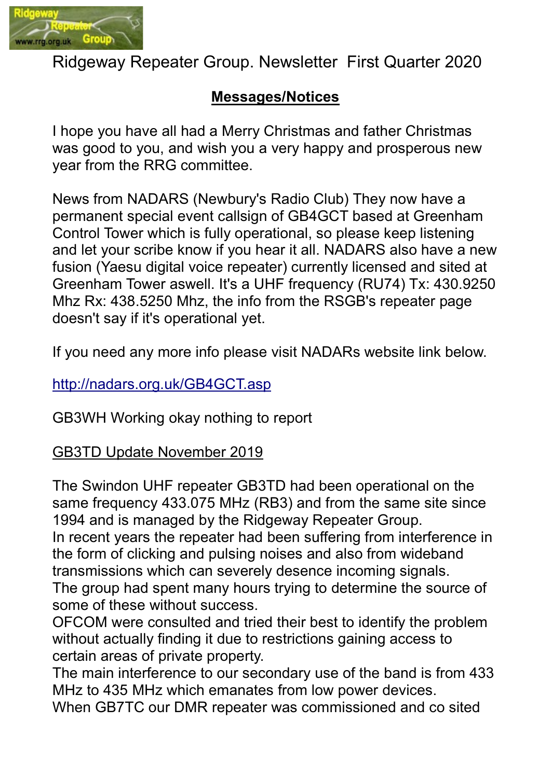

Ridgeway Repeater Group. Newsletter First Quarter 2020

## Messages/Notices

I hope you have all had a Merry Christmas and father Christmas was good to you, and wish you a very happy and prosperous new year from the RRG committee.

News from NADARS (Newbury's Radio Club) They now have a permanent special event callsign of GB4GCT based at Greenham Control Tower which is fully operational, so please keep listening and let your scribe know if you hear it all. NADARS also have a new fusion (Yaesu digital voice repeater) currently licensed and sited at Greenham Tower aswell. It's a UHF frequency (RU74) Tx: 430.9250 Mhz Rx: 438.5250 Mhz, the info from the RSGB's repeater page doesn't say if it's operational yet.

If you need any more info please visit NADARs website link below.

http://nadars.org.uk/GB4GCT.asp

GB3WH Working okay nothing to report

## GB3TD Update November 2019

The Swindon UHF repeater GB3TD had been operational on the same frequency 433.075 MHz (RB3) and from the same site since 1994 and is managed by the Ridgeway Repeater Group.

In recent years the repeater had been suffering from interference in the form of clicking and pulsing noises and also from wideband transmissions which can severely desence incoming signals.

The group had spent many hours trying to determine the source of some of these without success.

OFCOM were consulted and tried their best to identify the problem without actually finding it due to restrictions gaining access to certain areas of private property.

The main interference to our secondary use of the band is from 433 MHz to 435 MHz which emanates from low power devices.

When GB7TC our DMR repeater was commissioned and co sited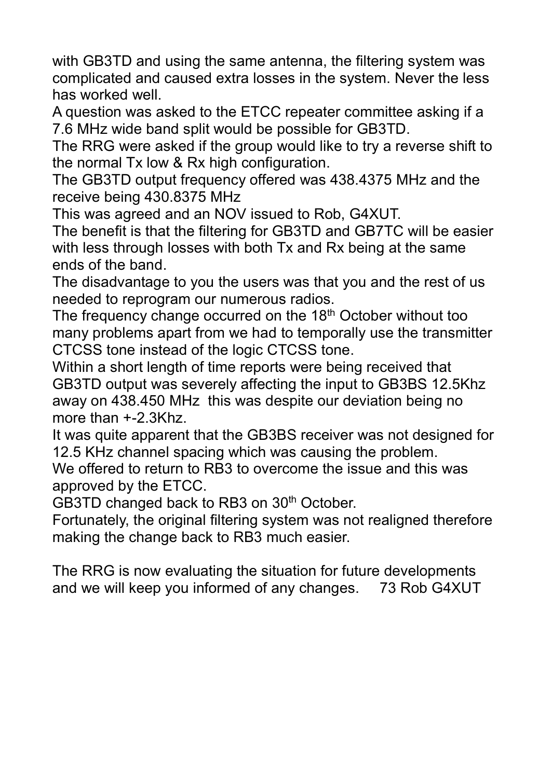with GB3TD and using the same antenna, the filtering system was complicated and caused extra losses in the system. Never the less has worked well.

A question was asked to the ETCC repeater committee asking if a 7.6 MHz wide band split would be possible for GB3TD.

The RRG were asked if the group would like to try a reverse shift to the normal Tx low & Rx high configuration.

The GB3TD output frequency offered was 438.4375 MHz and the receive being 430.8375 MHz

This was agreed and an NOV issued to Rob, G4XUT.

The benefit is that the filtering for GB3TD and GB7TC will be easier with less through losses with both Tx and Rx being at the same ends of the band.

The disadvantage to you the users was that you and the rest of us needed to reprogram our numerous radios.

The frequency change occurred on the 18<sup>th</sup> October without too many problems apart from we had to temporally use the transmitter CTCSS tone instead of the logic CTCSS tone.

Within a short length of time reports were being received that GB3TD output was severely affecting the input to GB3BS 12.5Khz away on 438.450 MHz this was despite our deviation being no more than +-2.3Khz.

It was quite apparent that the GB3BS receiver was not designed for 12.5 KHz channel spacing which was causing the problem.

We offered to return to RB3 to overcome the issue and this was approved by the ETCC.

GB3TD changed back to RB3 on 30<sup>th</sup> October.

Fortunately, the original filtering system was not realigned therefore making the change back to RB3 much easier.

The RRG is now evaluating the situation for future developments and we will keep you informed of any changes. 73 Rob G4XUT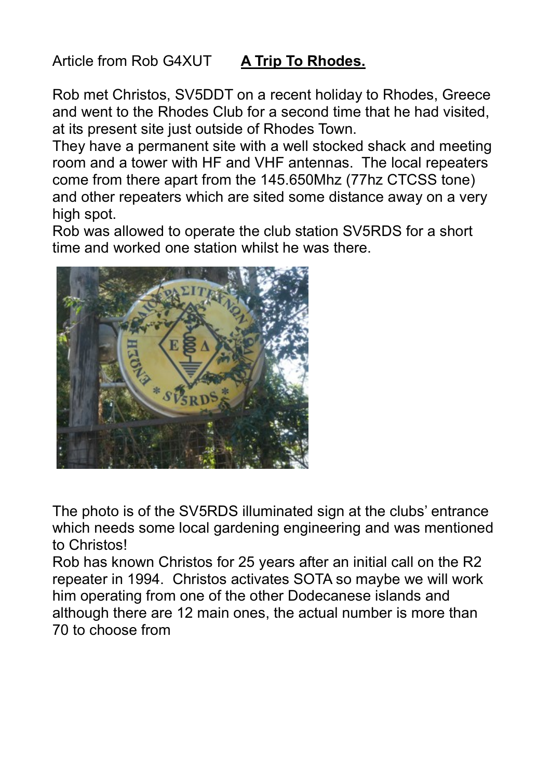## Article from Rob G4XUT A Trip To Rhodes.

Rob met Christos, SV5DDT on a recent holiday to Rhodes, Greece and went to the Rhodes Club for a second time that he had visited, at its present site just outside of Rhodes Town.

They have a permanent site with a well stocked shack and meeting room and a tower with HF and VHF antennas. The local repeaters come from there apart from the 145.650Mhz (77hz CTCSS tone) and other repeaters which are sited some distance away on a very high spot.

Rob was allowed to operate the club station SV5RDS for a short time and worked one station whilst he was there.



The photo is of the SV5RDS illuminated sign at the clubs' entrance which needs some local gardening engineering and was mentioned to Christos!

Rob has known Christos for 25 years after an initial call on the R2 repeater in 1994. Christos activates SOTA so maybe we will work him operating from one of the other Dodecanese islands and although there are 12 main ones, the actual number is more than 70 to choose from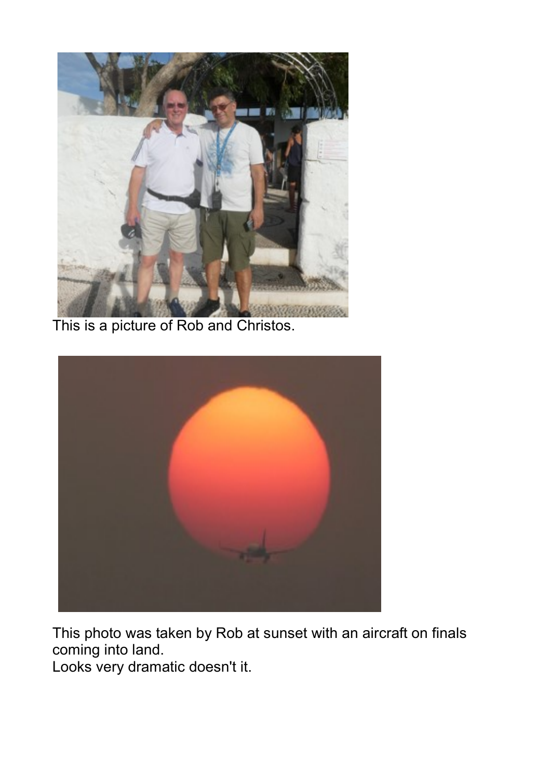

This is a picture of Rob and Christos.



This photo was taken by Rob at sunset with an aircraft on finals coming into land.

Looks very dramatic doesn't it.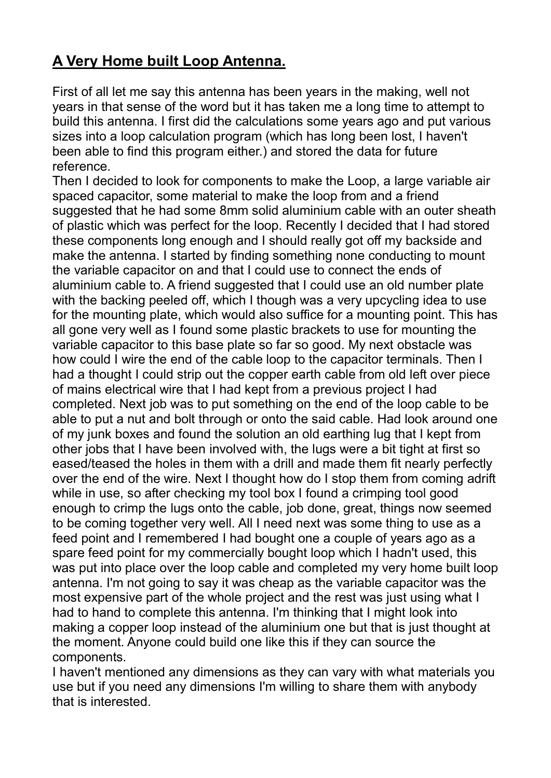## A Very Home built Loop Antenna.

First of all let me say this antenna has been years in the making, well not years in that sense of the word but it has taken me a long time to attempt to build this antenna. I first did the calculations some years ago and put various sizes into a loop calculation program (which has long been lost, I haven't been able to find this program either.) and stored the data for future reference.

Then I decided to look for components to make the Loop, a large variable air spaced capacitor, some material to make the loop from and a friend suggested that he had some 8mm solid aluminium cable with an outer sheath of plastic which was perfect for the loop. Recently I decided that I had stored these components long enough and I should really got off my backside and make the antenna. I started by finding something none conducting to mount the variable capacitor on and that I could use to connect the ends of aluminium cable to. A friend suggested that I could use an old number plate with the backing peeled off, which I though was a very upcycling idea to use for the mounting plate, which would also suffice for a mounting point. This has all gone very well as I found some plastic brackets to use for mounting the variable capacitor to this base plate so far so good. My next obstacle was how could I wire the end of the cable loop to the capacitor terminals. Then I had a thought I could strip out the copper earth cable from old left over piece of mains electrical wire that I had kept from a previous project I had completed. Next job was to put something on the end of the loop cable to be able to put a nut and bolt through or onto the said cable. Had look around one of my junk boxes and found the solution an old earthing lug that I kept from other jobs that I have been involved with, the lugs were a bit tight at first so eased/teased the holes in them with a drill and made them fit nearly perfectly over the end of the wire. Next I thought how do I stop them from coming adrift while in use, so after checking my tool box I found a crimping tool good enough to crimp the lugs onto the cable, job done, great, things now seemed to be coming together very well. All I need next was some thing to use as a feed point and I remembered I had bought one a couple of years ago as a spare feed point for my commercially bought loop which I hadn't used, this was put into place over the loop cable and completed my very home built loop antenna. I'm not going to say it was cheap as the variable capacitor was the most expensive part of the whole project and the rest was just using what I had to hand to complete this antenna. I'm thinking that I might look into making a copper loop instead of the aluminium one but that is just thought at the moment. Anyone could build one like this if they can source the components.

I haven't mentioned any dimensions as they can vary with what materials you use but if you need any dimensions I'm willing to share them with anybody that is interested.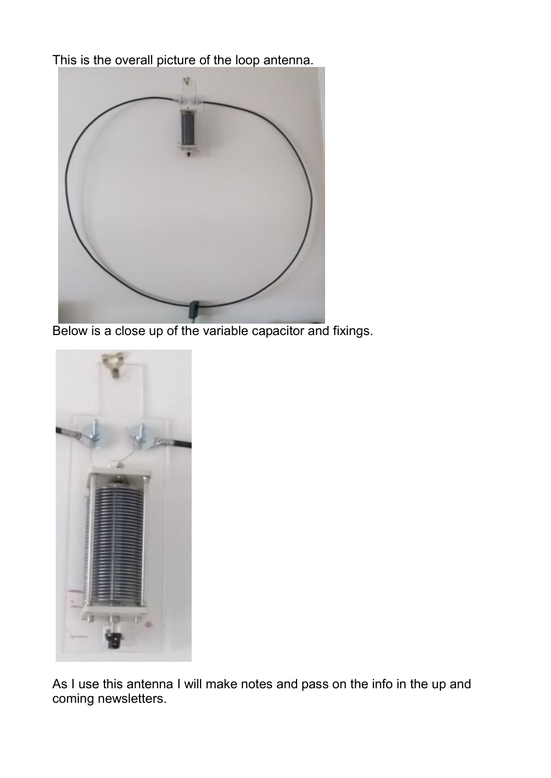This is the overall picture of the loop antenna.



Below is a close up of the variable capacitor and fixings.



As I use this antenna I will make notes and pass on the info in the up and coming newsletters.